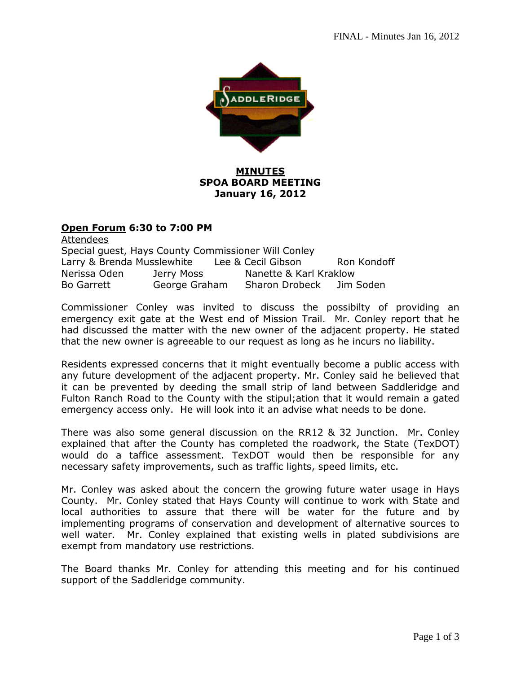

# **MINUTES SPOA BOARD MEETING January 16, 2012**

## **Open Forum 6:30 to 7:00 PM**

Attendees Special guest, Hays County Commissioner Will Conley Larry & Brenda Musslewhite Lee & Cecil Gibson Ron Kondoff Nerissa Oden Jerry Moss Nanette & Karl Kraklow Bo Garrett George Graham Sharon Drobeck Jim Soden

Commissioner Conley was invited to discuss the possibilty of providing an emergency exit gate at the West end of Mission Trail. Mr. Conley report that he had discussed the matter with the new owner of the adjacent property. He stated that the new owner is agreeable to our request as long as he incurs no liability.

Residents expressed concerns that it might eventually become a public access with any future development of the adjacent property. Mr. Conley said he believed that it can be prevented by deeding the small strip of land between Saddleridge and Fulton Ranch Road to the County with the stipul;ation that it would remain a gated emergency access only. He will look into it an advise what needs to be done.

There was also some general discussion on the RR12 & 32 Junction. Mr. Conley explained that after the County has completed the roadwork, the State (TexDOT) would do a taffice assessment. TexDOT would then be responsible for any necessary safety improvements, such as traffic lights, speed limits, etc.

Mr. Conley was asked about the concern the growing future water usage in Hays County. Mr. Conley stated that Hays County will continue to work with State and local authorities to assure that there will be water for the future and by implementing programs of conservation and development of alternative sources to well water. Mr. Conley explained that existing wells in plated subdivisions are exempt from mandatory use restrictions.

The Board thanks Mr. Conley for attending this meeting and for his continued support of the Saddleridge community.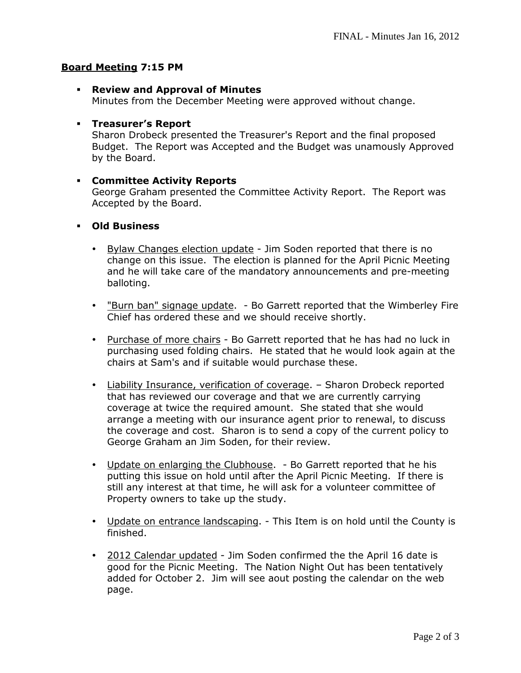#### **Board Meeting 7:15 PM**

**Review and Approval of Minutes** 

Minutes from the December Meeting were approved without change.

## **Treasurer's Report**

Sharon Drobeck presented the Treasurer's Report and the final proposed Budget. The Report was Accepted and the Budget was unamously Approved by the Board.

## **Committee Activity Reports**

George Graham presented the Committee Activity Report. The Report was Accepted by the Board.

#### **Old Business**

- Bylaw Changes election update Jim Soden reported that there is no change on this issue. The election is planned for the April Picnic Meeting and he will take care of the mandatory announcements and pre-meeting balloting.
- "Burn ban" signage update. Bo Garrett reported that the Wimberley Fire Chief has ordered these and we should receive shortly.
- Purchase of more chairs Bo Garrett reported that he has had no luck in purchasing used folding chairs. He stated that he would look again at the chairs at Sam's and if suitable would purchase these.
- Liability Insurance, verification of coverage. Sharon Drobeck reported that has reviewed our coverage and that we are currently carrying coverage at twice the required amount. She stated that she would arrange a meeting with our insurance agent prior to renewal, to discuss the coverage and cost. Sharon is to send a copy of the current policy to George Graham an Jim Soden, for their review.
- Update on enlarging the Clubhouse. Bo Garrett reported that he his putting this issue on hold until after the April Picnic Meeting. If there is still any interest at that time, he will ask for a volunteer committee of Property owners to take up the study.
- Update on entrance landscaping. This Item is on hold until the County is finished.
- 2012 Calendar updated Jim Soden confirmed the the April 16 date is good for the Picnic Meeting. The Nation Night Out has been tentatively added for October 2. Jim will see aout posting the calendar on the web page.